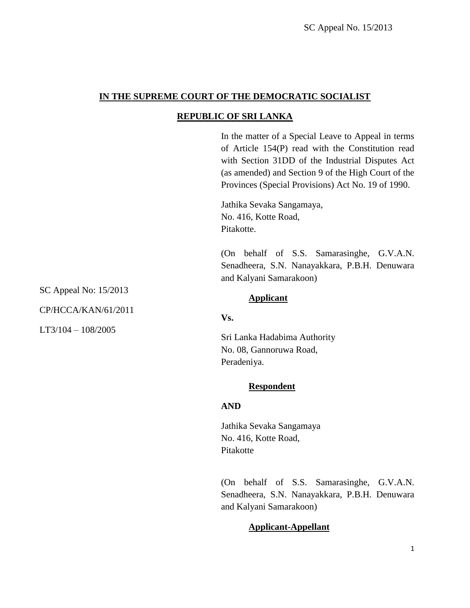# **IN THE SUPREME COURT OF THE DEMOCRATIC SOCIALIST**

# **REPUBLIC OF SRI LANKA**

In the matter of a Special Leave to Appeal in terms of Article 154(P) read with the Constitution read with Section 31DD of the Industrial Disputes Act (as amended) and Section 9 of the High Court of the Provinces (Special Provisions) Act No. 19 of 1990.

Jathika Sevaka Sangamaya, No. 416, Kotte Road, Pitakotte.

(On behalf of S.S. Samarasinghe, G.V.A.N. Senadheera, S.N. Nanayakkara, P.B.H. Denuwara and Kalyani Samarakoon)

#### **Applicant**

## **Vs.**

Sri Lanka Hadabima Authority No. 08, Gannoruwa Road, Peradeniya.

## **Respondent**

## **AND**

Jathika Sevaka Sangamaya No. 416, Kotte Road, Pitakotte

(On behalf of S.S. Samarasinghe, G.V.A.N. Senadheera, S.N. Nanayakkara, P.B.H. Denuwara and Kalyani Samarakoon)

# **Applicant-Appellant**

SC Appeal No: 15/2013

CP/HCCA/KAN/61/2011

LT3/104 – 108/2005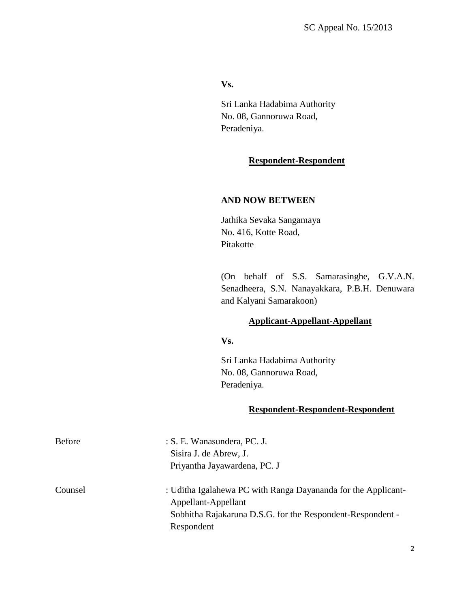#### **Vs.**

Sri Lanka Hadabima Authority No. 08, Gannoruwa Road, Peradeniya.

### **Respondent-Respondent**

## **AND NOW BETWEEN**

Jathika Sevaka Sangamaya No. 416, Kotte Road, Pitakotte

(On behalf of S.S. Samarasinghe, G.V.A.N. Senadheera, S.N. Nanayakkara, P.B.H. Denuwara and Kalyani Samarakoon)

#### **Applicant-Appellant-Appellant**

**Vs.**

Sri Lanka Hadabima Authority No. 08, Gannoruwa Road, Peradeniya.

#### **Respondent-Respondent-Respondent**

| <b>Before</b> | : S. E. Wanasundera, PC. J.                                                                                                                                      |
|---------------|------------------------------------------------------------------------------------------------------------------------------------------------------------------|
|               | Sisira J. de Abrew, J.                                                                                                                                           |
|               | Priyantha Jayawardena, PC. J                                                                                                                                     |
| Counsel       | : Uditha Igalahewa PC with Ranga Dayananda for the Applicant-<br>Appellant-Appellant<br>Sobhitha Rajakaruna D.S.G. for the Respondent-Respondent -<br>Respondent |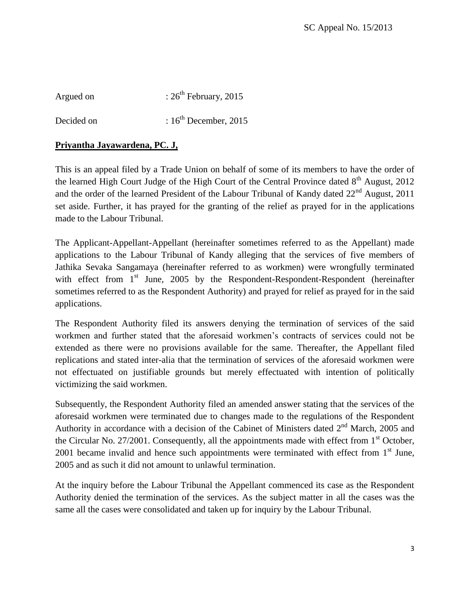Argued on  $: 26<sup>th</sup>$  February, 2015 Decided on  $: 16^{th}$  December, 2015

# **Priyantha Jayawardena, PC. J,**

This is an appeal filed by a Trade Union on behalf of some of its members to have the order of the learned High Court Judge of the High Court of the Central Province dated  $8<sup>th</sup>$  August, 2012 and the order of the learned President of the Labour Tribunal of Kandy dated  $22<sup>nd</sup>$  August, 2011 set aside. Further, it has prayed for the granting of the relief as prayed for in the applications made to the Labour Tribunal.

The Applicant-Appellant-Appellant (hereinafter sometimes referred to as the Appellant) made applications to the Labour Tribunal of Kandy alleging that the services of five members of Jathika Sevaka Sangamaya (hereinafter referred to as workmen) were wrongfully terminated with effect from  $1<sup>st</sup>$  June, 2005 by the Respondent-Respondent-Respondent (hereinafter sometimes referred to as the Respondent Authority) and prayed for relief as prayed for in the said applications.

The Respondent Authority filed its answers denying the termination of services of the said workmen and further stated that the aforesaid workmen"s contracts of services could not be extended as there were no provisions available for the same. Thereafter, the Appellant filed replications and stated inter-alia that the termination of services of the aforesaid workmen were not effectuated on justifiable grounds but merely effectuated with intention of politically victimizing the said workmen.

Subsequently, the Respondent Authority filed an amended answer stating that the services of the aforesaid workmen were terminated due to changes made to the regulations of the Respondent Authority in accordance with a decision of the Cabinet of Ministers dated  $2<sup>nd</sup>$  March, 2005 and the Circular No. 27/2001. Consequently, all the appointments made with effect from  $1<sup>st</sup>$  October, 2001 became invalid and hence such appointments were terminated with effect from  $1<sup>st</sup>$  June, 2005 and as such it did not amount to unlawful termination.

At the inquiry before the Labour Tribunal the Appellant commenced its case as the Respondent Authority denied the termination of the services. As the subject matter in all the cases was the same all the cases were consolidated and taken up for inquiry by the Labour Tribunal.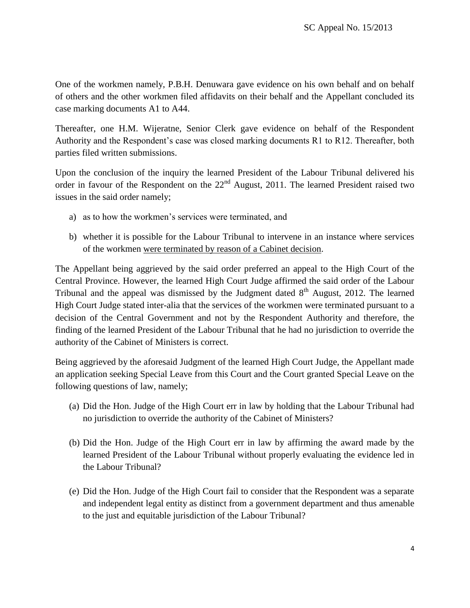One of the workmen namely, P.B.H. Denuwara gave evidence on his own behalf and on behalf of others and the other workmen filed affidavits on their behalf and the Appellant concluded its case marking documents A1 to A44.

Thereafter, one H.M. Wijeratne, Senior Clerk gave evidence on behalf of the Respondent Authority and the Respondent"s case was closed marking documents R1 to R12. Thereafter, both parties filed written submissions.

Upon the conclusion of the inquiry the learned President of the Labour Tribunal delivered his order in favour of the Respondent on the  $22<sup>nd</sup>$  August, 2011. The learned President raised two issues in the said order namely;

- a) as to how the workmen's services were terminated, and
- b) whether it is possible for the Labour Tribunal to intervene in an instance where services of the workmen were terminated by reason of a Cabinet decision.

The Appellant being aggrieved by the said order preferred an appeal to the High Court of the Central Province. However, the learned High Court Judge affirmed the said order of the Labour Tribunal and the appeal was dismissed by the Judgment dated  $8<sup>th</sup>$  August, 2012. The learned High Court Judge stated inter-alia that the services of the workmen were terminated pursuant to a decision of the Central Government and not by the Respondent Authority and therefore, the finding of the learned President of the Labour Tribunal that he had no jurisdiction to override the authority of the Cabinet of Ministers is correct.

Being aggrieved by the aforesaid Judgment of the learned High Court Judge, the Appellant made an application seeking Special Leave from this Court and the Court granted Special Leave on the following questions of law, namely;

- (a) Did the Hon. Judge of the High Court err in law by holding that the Labour Tribunal had no jurisdiction to override the authority of the Cabinet of Ministers?
- (b) Did the Hon. Judge of the High Court err in law by affirming the award made by the learned President of the Labour Tribunal without properly evaluating the evidence led in the Labour Tribunal?
- (e) Did the Hon. Judge of the High Court fail to consider that the Respondent was a separate and independent legal entity as distinct from a government department and thus amenable to the just and equitable jurisdiction of the Labour Tribunal?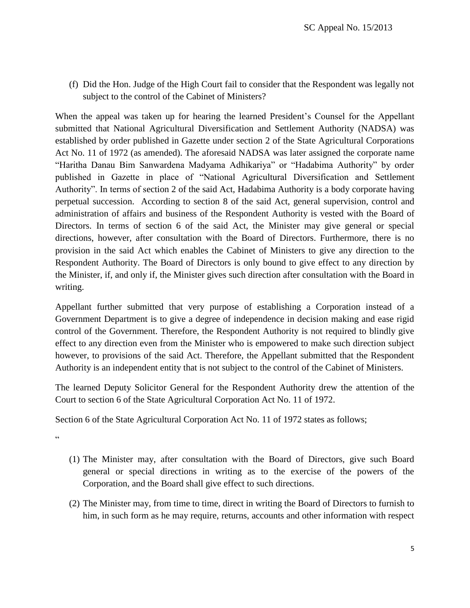(f) Did the Hon. Judge of the High Court fail to consider that the Respondent was legally not subject to the control of the Cabinet of Ministers?

When the appeal was taken up for hearing the learned President's Counsel for the Appellant submitted that National Agricultural Diversification and Settlement Authority (NADSA) was established by order published in Gazette under section 2 of the State Agricultural Corporations Act No. 11 of 1972 (as amended). The aforesaid NADSA was later assigned the corporate name "Haritha Danau Bim Sanwardena Madyama Adhikariya" or "Hadabima Authority" by order published in Gazette in place of "National Agricultural Diversification and Settlement Authority". In terms of section 2 of the said Act, Hadabima Authority is a body corporate having perpetual succession. According to section 8 of the said Act, general supervision, control and administration of affairs and business of the Respondent Authority is vested with the Board of Directors. In terms of section 6 of the said Act, the Minister may give general or special directions, however, after consultation with the Board of Directors. Furthermore, there is no provision in the said Act which enables the Cabinet of Ministers to give any direction to the Respondent Authority. The Board of Directors is only bound to give effect to any direction by the Minister, if, and only if, the Minister gives such direction after consultation with the Board in writing.

Appellant further submitted that very purpose of establishing a Corporation instead of a Government Department is to give a degree of independence in decision making and ease rigid control of the Government. Therefore, the Respondent Authority is not required to blindly give effect to any direction even from the Minister who is empowered to make such direction subject however, to provisions of the said Act. Therefore, the Appellant submitted that the Respondent Authority is an independent entity that is not subject to the control of the Cabinet of Ministers.

The learned Deputy Solicitor General for the Respondent Authority drew the attention of the Court to section 6 of the State Agricultural Corporation Act No. 11 of 1972.

Section 6 of the State Agricultural Corporation Act No. 11 of 1972 states as follows;

 $\alpha$ 

- (1) The Minister may, after consultation with the Board of Directors, give such Board general or special directions in writing as to the exercise of the powers of the Corporation, and the Board shall give effect to such directions.
- (2) The Minister may, from time to time, direct in writing the Board of Directors to furnish to him, in such form as he may require, returns, accounts and other information with respect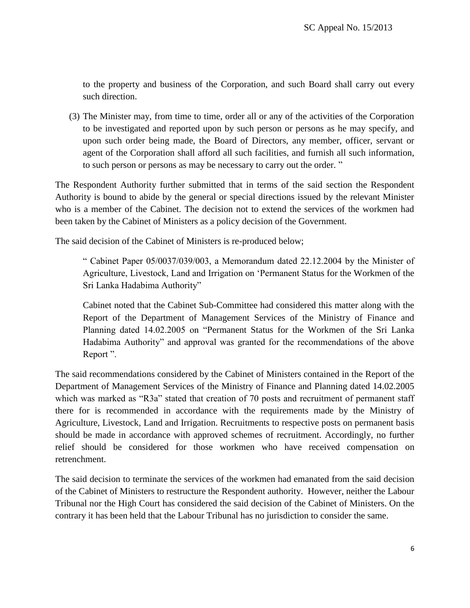to the property and business of the Corporation, and such Board shall carry out every such direction.

(3) The Minister may, from time to time, order all or any of the activities of the Corporation to be investigated and reported upon by such person or persons as he may specify, and upon such order being made, the Board of Directors, any member, officer, servant or agent of the Corporation shall afford all such facilities, and furnish all such information, to such person or persons as may be necessary to carry out the order. "

The Respondent Authority further submitted that in terms of the said section the Respondent Authority is bound to abide by the general or special directions issued by the relevant Minister who is a member of the Cabinet. The decision not to extend the services of the workmen had been taken by the Cabinet of Ministers as a policy decision of the Government.

The said decision of the Cabinet of Ministers is re-produced below;

" Cabinet Paper 05/0037/039/003, a Memorandum dated 22.12.2004 by the Minister of Agriculture, Livestock, Land and Irrigation on "Permanent Status for the Workmen of the Sri Lanka Hadabima Authority"

Cabinet noted that the Cabinet Sub-Committee had considered this matter along with the Report of the Department of Management Services of the Ministry of Finance and Planning dated 14.02.2005 on "Permanent Status for the Workmen of the Sri Lanka Hadabima Authority" and approval was granted for the recommendations of the above Report ".

The said recommendations considered by the Cabinet of Ministers contained in the Report of the Department of Management Services of the Ministry of Finance and Planning dated 14.02.2005 which was marked as "R3a" stated that creation of 70 posts and recruitment of permanent staff there for is recommended in accordance with the requirements made by the Ministry of Agriculture, Livestock, Land and Irrigation. Recruitments to respective posts on permanent basis should be made in accordance with approved schemes of recruitment. Accordingly, no further relief should be considered for those workmen who have received compensation on retrenchment.

The said decision to terminate the services of the workmen had emanated from the said decision of the Cabinet of Ministers to restructure the Respondent authority. However, neither the Labour Tribunal nor the High Court has considered the said decision of the Cabinet of Ministers. On the contrary it has been held that the Labour Tribunal has no jurisdiction to consider the same.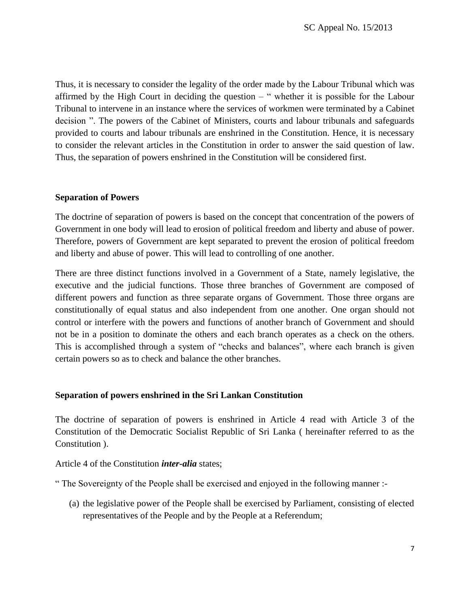Thus, it is necessary to consider the legality of the order made by the Labour Tribunal which was affirmed by the High Court in deciding the question  $-$  " whether it is possible for the Labour Tribunal to intervene in an instance where the services of workmen were terminated by a Cabinet decision ". The powers of the Cabinet of Ministers, courts and labour tribunals and safeguards provided to courts and labour tribunals are enshrined in the Constitution. Hence, it is necessary to consider the relevant articles in the Constitution in order to answer the said question of law. Thus, the separation of powers enshrined in the Constitution will be considered first.

#### **Separation of Powers**

The doctrine of separation of powers is based on the concept that concentration of the powers of Government in one body will lead to erosion of political freedom and liberty and abuse of power. Therefore, powers of Government are kept separated to prevent the erosion of political freedom and liberty and abuse of power. This will lead to controlling of one another.

There are three distinct functions involved in a Government of a State, namely legislative, the executive and the judicial functions. Those three branches of Government are composed of different powers and function as three separate organs of Government. Those three organs are constitutionally of equal status and also independent from one another. One organ should not control or interfere with the powers and functions of another branch of Government and should not be in a position to dominate the others and each branch operates as a check on the others. This is accomplished through a system of "checks and balances", where each branch is given certain powers so as to check and balance the other branches.

#### **Separation of powers enshrined in the Sri Lankan Constitution**

The doctrine of separation of powers is enshrined in Article 4 read with Article 3 of the Constitution of the Democratic Socialist Republic of Sri Lanka ( hereinafter referred to as the Constitution ).

Article 4 of the Constitution *inter-alia* states;

" The Sovereignty of the People shall be exercised and enjoyed in the following manner :-

(a) the legislative power of the People shall be exercised by Parliament, consisting of elected representatives of the People and by the People at a Referendum;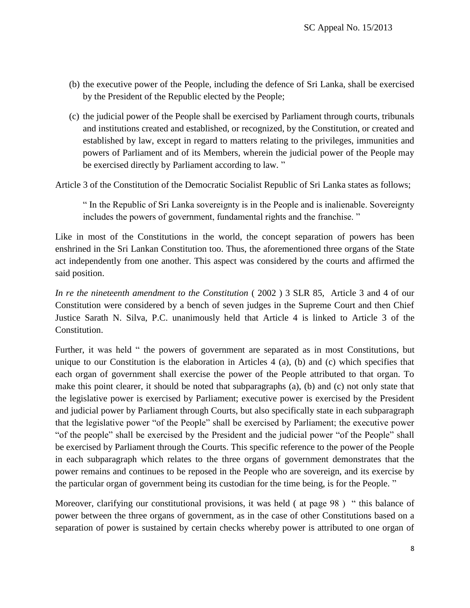- (b) the executive power of the People, including the defence of Sri Lanka, shall be exercised by the President of the Republic elected by the People;
- (c) the judicial power of the People shall be exercised by Parliament through courts, tribunals and institutions created and established, or recognized, by the Constitution, or created and established by law, except in regard to matters relating to the privileges, immunities and powers of Parliament and of its Members, wherein the judicial power of the People may be exercised directly by Parliament according to law. "

Article 3 of the Constitution of the Democratic Socialist Republic of Sri Lanka states as follows;

" In the Republic of Sri Lanka sovereignty is in the People and is inalienable. Sovereignty includes the powers of government, fundamental rights and the franchise. "

Like in most of the Constitutions in the world, the concept separation of powers has been enshrined in the Sri Lankan Constitution too. Thus, the aforementioned three organs of the State act independently from one another. This aspect was considered by the courts and affirmed the said position.

*In re the nineteenth amendment to the Constitution* ( 2002 ) 3 SLR 85, Article 3 and 4 of our Constitution were considered by a bench of seven judges in the Supreme Court and then Chief Justice Sarath N. Silva, P.C. unanimously held that Article 4 is linked to Article 3 of the Constitution.

Further, it was held " the powers of government are separated as in most Constitutions, but unique to our Constitution is the elaboration in Articles 4 (a), (b) and (c) which specifies that each organ of government shall exercise the power of the People attributed to that organ. To make this point clearer, it should be noted that subparagraphs (a), (b) and (c) not only state that the legislative power is exercised by Parliament; executive power is exercised by the President and judicial power by Parliament through Courts, but also specifically state in each subparagraph that the legislative power "of the People" shall be exercised by Parliament; the executive power "of the people" shall be exercised by the President and the judicial power "of the People" shall be exercised by Parliament through the Courts. This specific reference to the power of the People in each subparagraph which relates to the three organs of government demonstrates that the power remains and continues to be reposed in the People who are sovereign, and its exercise by the particular organ of government being its custodian for the time being, is for the People. "

Moreover, clarifying our constitutional provisions, it was held (at page 98) "this balance of power between the three organs of government, as in the case of other Constitutions based on a separation of power is sustained by certain checks whereby power is attributed to one organ of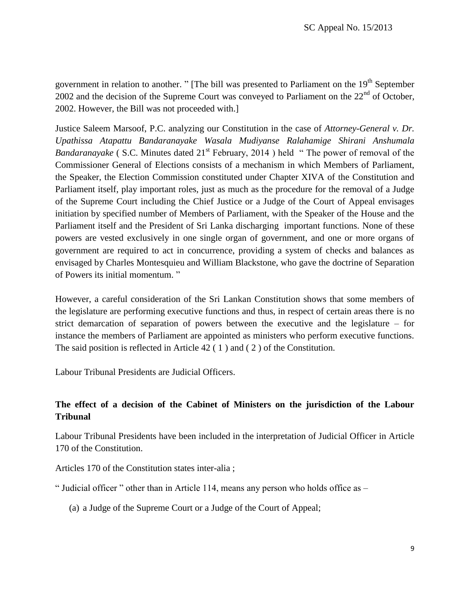government in relation to another. " [The bill was presented to Parliament on the 19<sup>th</sup> September 2002 and the decision of the Supreme Court was conveyed to Parliament on the  $22<sup>nd</sup>$  of October, 2002. However, the Bill was not proceeded with.]

Justice Saleem Marsoof, P.C. analyzing our Constitution in the case of *Attorney-General v. Dr. Upathissa Atapattu Bandaranayake Wasala Mudiyanse Ralahamige Shirani Anshumala Bandaranayake* ( S.C. Minutes dated 21<sup>st</sup> February, 2014 ) held " The power of removal of the Commissioner General of Elections consists of a mechanism in which Members of Parliament, the Speaker, the Election Commission constituted under Chapter XIVA of the Constitution and Parliament itself, play important roles, just as much as the procedure for the removal of a Judge of the Supreme Court including the Chief Justice or a Judge of the Court of Appeal envisages initiation by specified number of Members of Parliament, with the Speaker of the House and the Parliament itself and the President of Sri Lanka discharging important functions. None of these powers are vested exclusively in one single organ of government, and one or more organs of government are required to act in concurrence, providing a system of checks and balances as envisaged by Charles Montesquieu and William Blackstone, who gave the doctrine of Separation of Powers its initial momentum. "

However, a careful consideration of the Sri Lankan Constitution shows that some members of the legislature are performing executive functions and thus, in respect of certain areas there is no strict demarcation of separation of powers between the executive and the legislature – for instance the members of Parliament are appointed as ministers who perform executive functions. The said position is reflected in Article 42 ( 1 ) and ( 2 ) of the Constitution.

Labour Tribunal Presidents are Judicial Officers.

# **The effect of a decision of the Cabinet of Ministers on the jurisdiction of the Labour Tribunal**

Labour Tribunal Presidents have been included in the interpretation of Judicial Officer in Article 170 of the Constitution.

Articles 170 of the Constitution states inter-alia ;

" Judicial officer " other than in Article 114, means any person who holds office as  $-$ 

(a) a Judge of the Supreme Court or a Judge of the Court of Appeal;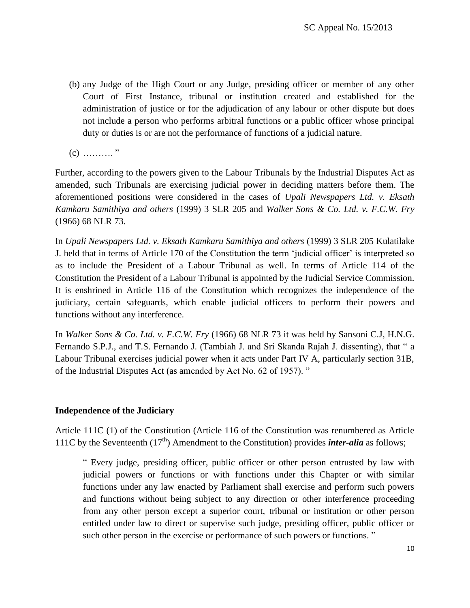- (b) any Judge of the High Court or any Judge, presiding officer or member of any other Court of First Instance, tribunal or institution created and established for the administration of justice or for the adjudication of any labour or other dispute but does not include a person who performs arbitral functions or a public officer whose principal duty or duties is or are not the performance of functions of a judicial nature.
- $(c)$  ………."

Further, according to the powers given to the Labour Tribunals by the Industrial Disputes Act as amended, such Tribunals are exercising judicial power in deciding matters before them. The aforementioned positions were considered in the cases of *Upali Newspapers Ltd. v. Eksath Kamkaru Samithiya and others* (1999) 3 SLR 205 and *Walker Sons & Co. Ltd. v. F.C.W. Fry* (1966) 68 NLR 73.

In *Upali Newspapers Ltd. v. Eksath Kamkaru Samithiya and others* (1999) 3 SLR 205 Kulatilake J. held that in terms of Article 170 of the Constitution the term "judicial officer" is interpreted so as to include the President of a Labour Tribunal as well. In terms of Article 114 of the Constitution the President of a Labour Tribunal is appointed by the Judicial Service Commission. It is enshrined in Article 116 of the Constitution which recognizes the independence of the judiciary, certain safeguards, which enable judicial officers to perform their powers and functions without any interference.

In *Walker Sons & Co. Ltd. v. F.C.W. Fry* (1966) 68 NLR 73 it was held by Sansoni C.J, H.N.G. Fernando S.P.J., and T.S. Fernando J. (Tambiah J. and Sri Skanda Rajah J. dissenting), that " a Labour Tribunal exercises judicial power when it acts under Part IV A, particularly section 31B, of the Industrial Disputes Act (as amended by Act No. 62 of 1957). "

#### **Independence of the Judiciary**

Article 111C (1) of the Constitution (Article 116 of the Constitution was renumbered as Article 111C by the Seventeenth  $(17<sup>th</sup>)$  Amendment to the Constitution) provides *inter-alia* as follows;

" Every judge, presiding officer, public officer or other person entrusted by law with judicial powers or functions or with functions under this Chapter or with similar functions under any law enacted by Parliament shall exercise and perform such powers and functions without being subject to any direction or other interference proceeding from any other person except a superior court, tribunal or institution or other person entitled under law to direct or supervise such judge, presiding officer, public officer or such other person in the exercise or performance of such powers or functions."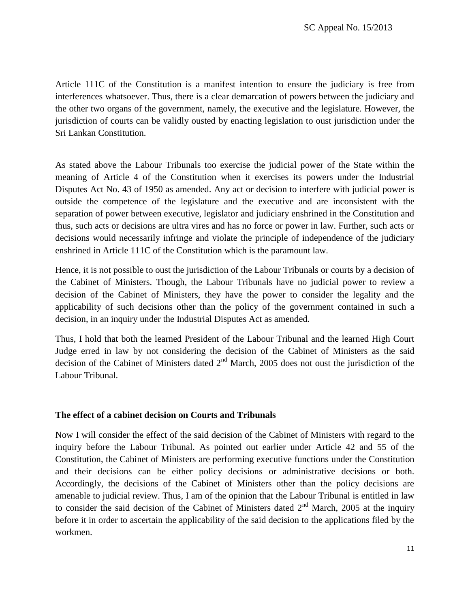Article 111C of the Constitution is a manifest intention to ensure the judiciary is free from interferences whatsoever. Thus, there is a clear demarcation of powers between the judiciary and the other two organs of the government, namely, the executive and the legislature. However, the jurisdiction of courts can be validly ousted by enacting legislation to oust jurisdiction under the Sri Lankan Constitution.

As stated above the Labour Tribunals too exercise the judicial power of the State within the meaning of Article 4 of the Constitution when it exercises its powers under the Industrial Disputes Act No. 43 of 1950 as amended. Any act or decision to interfere with judicial power is outside the competence of the legislature and the executive and are inconsistent with the separation of power between executive, legislator and judiciary enshrined in the Constitution and thus, such acts or decisions are ultra vires and has no force or power in law. Further, such acts or decisions would necessarily infringe and violate the principle of independence of the judiciary enshrined in Article 111C of the Constitution which is the paramount law.

Hence, it is not possible to oust the jurisdiction of the Labour Tribunals or courts by a decision of the Cabinet of Ministers. Though, the Labour Tribunals have no judicial power to review a decision of the Cabinet of Ministers, they have the power to consider the legality and the applicability of such decisions other than the policy of the government contained in such a decision, in an inquiry under the Industrial Disputes Act as amended.

Thus, I hold that both the learned President of the Labour Tribunal and the learned High Court Judge erred in law by not considering the decision of the Cabinet of Ministers as the said decision of the Cabinet of Ministers dated  $2<sup>nd</sup>$  March, 2005 does not oust the jurisdiction of the Labour Tribunal.

## **The effect of a cabinet decision on Courts and Tribunals**

Now I will consider the effect of the said decision of the Cabinet of Ministers with regard to the inquiry before the Labour Tribunal. As pointed out earlier under Article 42 and 55 of the Constitution, the Cabinet of Ministers are performing executive functions under the Constitution and their decisions can be either policy decisions or administrative decisions or both. Accordingly, the decisions of the Cabinet of Ministers other than the policy decisions are amenable to judicial review. Thus, I am of the opinion that the Labour Tribunal is entitled in law to consider the said decision of the Cabinet of Ministers dated  $2<sup>nd</sup>$  March, 2005 at the inquiry before it in order to ascertain the applicability of the said decision to the applications filed by the workmen.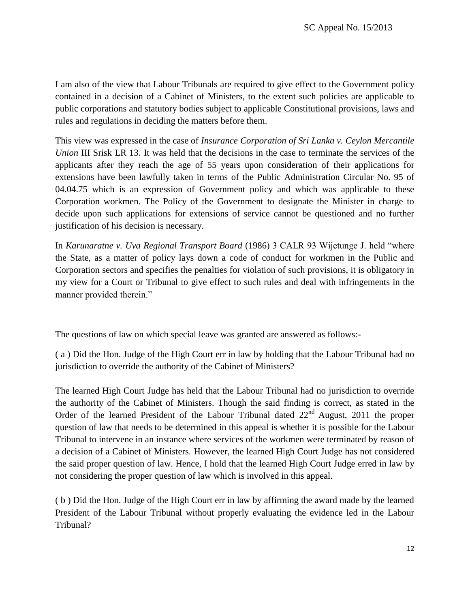I am also of the view that Labour Tribunals are required to give effect to the Government policy contained in a decision of a Cabinet of Ministers, to the extent such policies are applicable to public corporations and statutory bodies subject to applicable Constitutional provisions, laws and rules and regulations in deciding the matters before them.

This view was expressed in the case of *Insurance Corporation of Sri Lanka v. Ceylon Mercantile Union III Srisk LR 13. It was held that the decisions in the case to terminate the services of the* applicants after they reach the age of 55 years upon consideration of their applications for extensions have been lawfully taken in terms of the Public Administration Circular No. 95 of 04.04.75 which is an expression of Government policy and which was applicable to these Corporation workmen. The Policy of the Government to designate the Minister in charge to decide upon such applications for extensions of service cannot be questioned and no further justification of his decision is necessary.

In *Karunaratne v. Uva Regional Transport Board* (1986) 3 CALR 93 Wijetunge J. held "where the State, as a matter of policy lays down a code of conduct for workmen in the Public and Corporation sectors and specifies the penalties for violation of such provisions, it is obligatory in my view for a Court or Tribunal to give effect to such rules and deal with infringements in the manner provided therein."

The questions of law on which special leave was granted are answered as follows:-

( a ) Did the Hon. Judge of the High Court err in law by holding that the Labour Tribunal had no jurisdiction to override the authority of the Cabinet of Ministers?

The learned High Court Judge has held that the Labour Tribunal had no jurisdiction to override the authority of the Cabinet of Ministers. Though the said finding is correct, as stated in the Order of the learned President of the Labour Tribunal dated  $22<sup>nd</sup>$  August, 2011 the proper question of law that needs to be determined in this appeal is whether it is possible for the Labour Tribunal to intervene in an instance where services of the workmen were terminated by reason of a decision of a Cabinet of Ministers. However, the learned High Court Judge has not considered the said proper question of law. Hence, I hold that the learned High Court Judge erred in law by not considering the proper question of law which is involved in this appeal.

( b ) Did the Hon. Judge of the High Court err in law by affirming the award made by the learned President of the Labour Tribunal without properly evaluating the evidence led in the Labour Tribunal?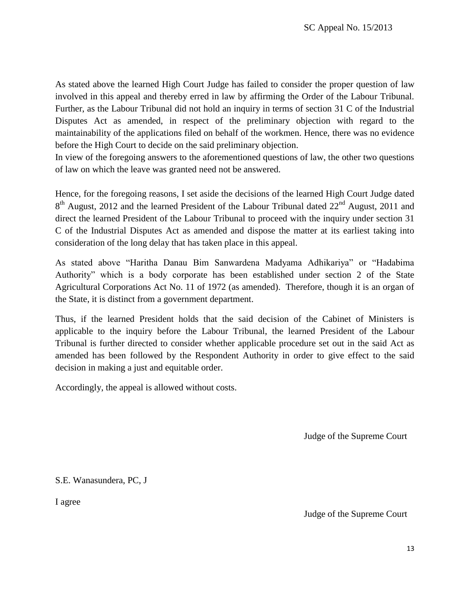As stated above the learned High Court Judge has failed to consider the proper question of law involved in this appeal and thereby erred in law by affirming the Order of the Labour Tribunal. Further, as the Labour Tribunal did not hold an inquiry in terms of section 31 C of the Industrial Disputes Act as amended, in respect of the preliminary objection with regard to the maintainability of the applications filed on behalf of the workmen. Hence, there was no evidence before the High Court to decide on the said preliminary objection.

In view of the foregoing answers to the aforementioned questions of law, the other two questions of law on which the leave was granted need not be answered.

Hence, for the foregoing reasons, I set aside the decisions of the learned High Court Judge dated  $8<sup>th</sup>$  August, 2012 and the learned President of the Labour Tribunal dated  $22<sup>nd</sup>$  August, 2011 and direct the learned President of the Labour Tribunal to proceed with the inquiry under section 31 C of the Industrial Disputes Act as amended and dispose the matter at its earliest taking into consideration of the long delay that has taken place in this appeal.

As stated above "Haritha Danau Bim Sanwardena Madyama Adhikariya" or "Hadabima Authority" which is a body corporate has been established under section 2 of the State Agricultural Corporations Act No. 11 of 1972 (as amended). Therefore, though it is an organ of the State, it is distinct from a government department.

Thus, if the learned President holds that the said decision of the Cabinet of Ministers is applicable to the inquiry before the Labour Tribunal, the learned President of the Labour Tribunal is further directed to consider whether applicable procedure set out in the said Act as amended has been followed by the Respondent Authority in order to give effect to the said decision in making a just and equitable order.

Accordingly, the appeal is allowed without costs.

Judge of the Supreme Court

S.E. Wanasundera, PC, J

I agree

Judge of the Supreme Court